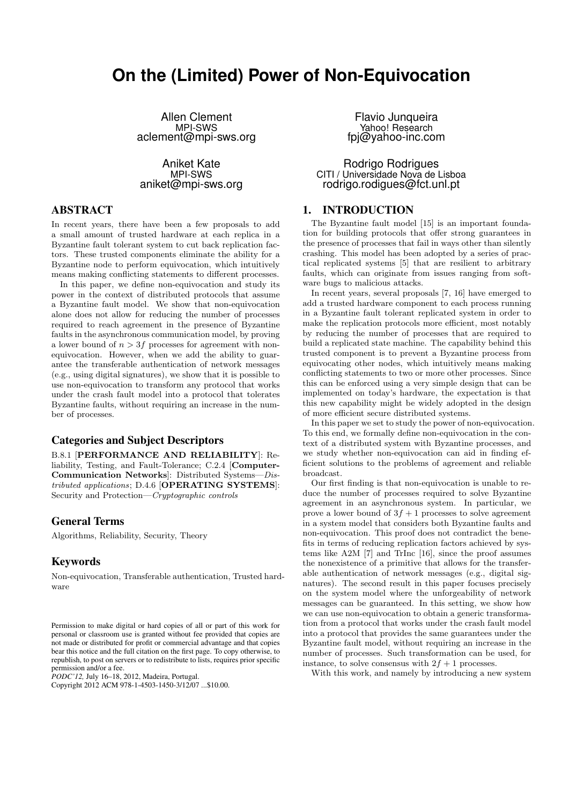# **On the (Limited) Power of Non-Equivocation**

Allen Clement MPI-SWS aclement@mpi-sws.org

Aniket Kate MPI-SWS aniket@mpi-sws.org

## ABSTRACT

In recent years, there have been a few proposals to add a small amount of trusted hardware at each replica in a Byzantine fault tolerant system to cut back replication factors. These trusted components eliminate the ability for a Byzantine node to perform equivocation, which intuitively means making conflicting statements to different processes.

In this paper, we define non-equivocation and study its power in the context of distributed protocols that assume a Byzantine fault model. We show that non-equivocation alone does not allow for reducing the number of processes required to reach agreement in the presence of Byzantine faults in the asynchronous communication model, by proving a lower bound of  $n > 3f$  processes for agreement with nonequivocation. However, when we add the ability to guarantee the transferable authentication of network messages (e.g., using digital signatures), we show that it is possible to use non-equivocation to transform any protocol that works under the crash fault model into a protocol that tolerates Byzantine faults, without requiring an increase in the number of processes.

## Categories and Subject Descriptors

B.8.1 [PERFORMANCE AND RELIABILITY]: Reliability, Testing, and Fault-Tolerance; C.2.4 [Computer-Communication Networks]: Distributed Systems—Distributed applications; D.4.6 [OPERATING SYSTEMS]: Security and Protection—Cryptographic controls

## General Terms

Algorithms, Reliability, Security, Theory

## Keywords

Non-equivocation, Transferable authentication, Trusted hardware

*PODC'12,* July 16–18, 2012, Madeira, Portugal.

Copyright 2012 ACM 978-1-4503-1450-3/12/07 ...\$10.00.

Flavio Junqueira Yahoo! Research fpj@yahoo-inc.com

Rodrigo Rodrigues CITI / Universidade Nova de Lisboa rodrigo.rodigues@fct.unl.pt

## 1. INTRODUCTION

The Byzantine fault model [15] is an important foundation for building protocols that offer strong guarantees in the presence of processes that fail in ways other than silently crashing. This model has been adopted by a series of practical replicated systems [5] that are resilient to arbitrary faults, which can originate from issues ranging from software bugs to malicious attacks.

In recent years, several proposals [7, 16] have emerged to add a trusted hardware component to each process running in a Byzantine fault tolerant replicated system in order to make the replication protocols more efficient, most notably by reducing the number of processes that are required to build a replicated state machine. The capability behind this trusted component is to prevent a Byzantine process from equivocating other nodes, which intuitively means making conflicting statements to two or more other processes. Since this can be enforced using a very simple design that can be implemented on today's hardware, the expectation is that this new capability might be widely adopted in the design of more efficient secure distributed systems.

In this paper we set to study the power of non-equivocation. To this end, we formally define non-equivocation in the context of a distributed system with Byzantine processes, and we study whether non-equivocation can aid in finding efficient solutions to the problems of agreement and reliable broadcast.

Our first finding is that non-equivocation is unable to reduce the number of processes required to solve Byzantine agreement in an asynchronous system. In particular, we prove a lower bound of  $3f + 1$  processes to solve agreement in a system model that considers both Byzantine faults and non-equivocation. This proof does not contradict the benefits in terms of reducing replication factors achieved by systems like A2M [7] and TrInc [16], since the proof assumes the nonexistence of a primitive that allows for the transferable authentication of network messages (e.g., digital signatures). The second result in this paper focuses precisely on the system model where the unforgeability of network messages can be guaranteed. In this setting, we show how we can use non-equivocation to obtain a generic transformation from a protocol that works under the crash fault model into a protocol that provides the same guarantees under the Byzantine fault model, without requiring an increase in the number of processes. Such transformation can be used, for instance, to solve consensus with  $2f + 1$  processes.

With this work, and namely by introducing a new system

Permission to make digital or hard copies of all or part of this work for personal or classroom use is granted without fee provided that copies are not made or distributed for profit or commercial advantage and that copies bear this notice and the full citation on the first page. To copy otherwise, to republish, to post on servers or to redistribute to lists, requires prior specific permission and/or a fee.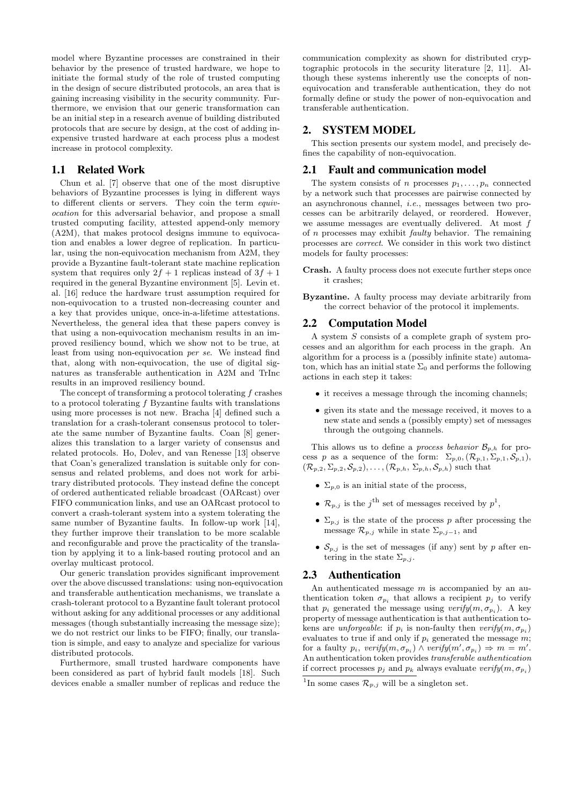model where Byzantine processes are constrained in their behavior by the presence of trusted hardware, we hope to initiate the formal study of the role of trusted computing in the design of secure distributed protocols, an area that is gaining increasing visibility in the security community. Furthermore, we envision that our generic transformation can be an initial step in a research avenue of building distributed protocols that are secure by design, at the cost of adding inexpensive trusted hardware at each process plus a modest increase in protocol complexity.

## 1.1 Related Work

Chun et al. [7] observe that one of the most disruptive behaviors of Byzantine processes is lying in different ways to different clients or servers. They coin the term equivocation for this adversarial behavior, and propose a small trusted computing facility, attested append-only memory (A2M), that makes protocol designs immune to equivocation and enables a lower degree of replication. In particular, using the non-equivocation mechanism from A2M, they provide a Byzantine fault-tolerant state machine replication system that requires only  $2f + 1$  replicas instead of  $3f + 1$ required in the general Byzantine environment [5]. Levin et. al. [16] reduce the hardware trust assumption required for non-equivocation to a trusted non-decreasing counter and a key that provides unique, once-in-a-lifetime attestations. Nevertheless, the general idea that these papers convey is that using a non-equivocation mechanism results in an improved resiliency bound, which we show not to be true, at least from using non-equivocation per se. We instead find that, along with non-equivocation, the use of digital signatures as transferable authentication in A2M and TrInc results in an improved resiliency bound.

The concept of transforming a protocol tolerating  $f$  crashes to a protocol tolerating  $f$  Byzantine faults with translations using more processes is not new. Bracha [4] defined such a translation for a crash-tolerant consensus protocol to tolerate the same number of Byzantine faults. Coan [8] generalizes this translation to a larger variety of consensus and related protocols. Ho, Dolev, and van Renesse [13] observe that Coan's generalized translation is suitable only for consensus and related problems, and does not work for arbitrary distributed protocols. They instead define the concept of ordered authenticated reliable broadcast (OARcast) over FIFO communication links, and use an OARcast protocol to convert a crash-tolerant system into a system tolerating the same number of Byzantine faults. In follow-up work [14], they further improve their translation to be more scalable and reconfigurable and prove the practicality of the translation by applying it to a link-based routing protocol and an overlay multicast protocol.

Our generic translation provides significant improvement over the above discussed translations: using non-equivocation and transferable authentication mechanisms, we translate a crash-tolerant protocol to a Byzantine fault tolerant protocol without asking for any additional processes or any additional messages (though substantially increasing the message size); we do not restrict our links to be FIFO; finally, our translation is simple, and easy to analyze and specialize for various distributed protocols.

Furthermore, small trusted hardware components have been considered as part of hybrid fault models [18]. Such devices enable a smaller number of replicas and reduce the

communication complexity as shown for distributed cryptographic protocols in the security literature [2, 11]. Although these systems inherently use the concepts of nonequivocation and transferable authentication, they do not formally define or study the power of non-equivocation and transferable authentication.

## 2. SYSTEM MODEL

This section presents our system model, and precisely defines the capability of non-equivocation.

#### 2.1 Fault and communication model

The system consists of n processes  $p_1, \ldots, p_n$  connected by a network such that processes are pairwise connected by an asynchronous channel, i.e., messages between two processes can be arbitrarily delayed, or reordered. However, we assume messages are eventually delivered. At most f of n processes may exhibit faulty behavior. The remaining processes are correct. We consider in this work two distinct models for faulty processes:

Crash. A faulty process does not execute further steps once it crashes;

Byzantine. A faulty process may deviate arbitrarily from the correct behavior of the protocol it implements.

#### 2.2 Computation Model

A system S consists of a complete graph of system processes and an algorithm for each process in the graph. An algorithm for a process is a (possibly infinite state) automaton, which has an initial state  $\Sigma_0$  and performs the following actions in each step it takes:

- it receives a message through the incoming channels;
- given its state and the message received, it moves to a new state and sends a (possibly empty) set of messages through the outgoing channels.

This allows us to define a *process behavior*  $\mathcal{B}_{p,h}$  for process p as a sequence of the form:  $\Sigma_{p,0},(\mathcal{R}_{p,1},\Sigma_{p,1},\mathcal{S}_{p,1}),$  $(\mathcal{R}_{p,2}, \Sigma_{p,2}, \mathcal{S}_{p,2}), \ldots, (\mathcal{R}_{p,h}, \Sigma_{p,h}, \mathcal{S}_{p,h})$  such that

- $\Sigma_{p,0}$  is an initial state of the process,
- $\mathcal{R}_{p,j}$  is the j<sup>th</sup> set of messages received by  $p^1$ ,
- $\Sigma_{p,j}$  is the state of the process p after processing the message  $\mathcal{R}_{p,j}$  while in state  $\Sigma_{p,j-1}$ , and
- $\mathcal{S}_{p,j}$  is the set of messages (if any) sent by p after entering in the state  $\Sigma_{p,j}$ .

# 2.3 Authentication

An authenticated message  $m$  is accompanied by an authentication token  $\sigma_{p_i}$  that allows a recipient  $p_j$  to verify that  $p_i$  generated the message using  $\text{verify}(m, \sigma_{p_i})$ . A key property of message authentication is that authentication tokens are *unforgeable*: if  $p_i$  is non-faulty then  $\text{verify}(m, \sigma_{p_i})$ evaluates to true if and only if  $p_i$  generated the message m; for a faulty  $p_i$ ,  $verify(m, \sigma_{p_i}) \wedge verify(m', \sigma_{p_i}) \Rightarrow m = m'.$ An authentication token provides transferable authentication if correct processes  $p_j$  and  $p_k$  always evaluate  $\text{verify}(m, \sigma_{p_i})$ 

<sup>&</sup>lt;sup>1</sup>In some cases  $\mathcal{R}_{p,j}$  will be a singleton set.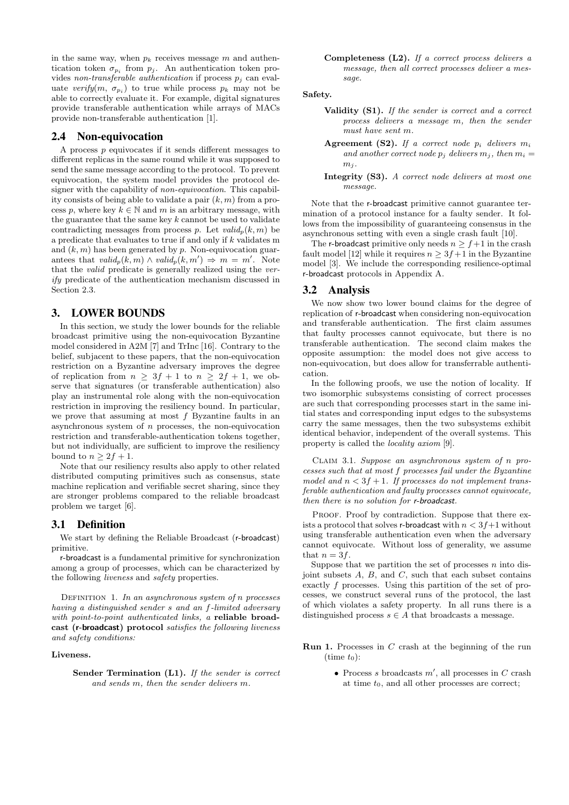in the same way, when  $p_k$  receives message m and authentication token  $\sigma_{p_i}$  from  $p_j$ . An authentication token provides non-transferable authentication if process  $p_i$  can evaluate  $\text{verify}(m, \sigma_{p_i})$  to true while process  $p_k$  may not be able to correctly evaluate it. For example, digital signatures provide transferable authentication while arrays of MACs provide non-transferable authentication [1].

#### 2.4 Non-equivocation

A process  $p$  equivocates if it sends different messages to different replicas in the same round while it was supposed to send the same message according to the protocol. To prevent equivocation, the system model provides the protocol designer with the capability of *non-equivocation*. This capability consists of being able to validate a pair  $(k, m)$  from a process p, where key  $k \in \mathbb{N}$  and m is an arbitrary message, with the guarantee that the same key  $k$  cannot be used to validate contradicting messages from process p. Let  $valid_n(k, m)$  be a predicate that evaluates to true if and only if k validates m and  $(k, m)$  has been generated by p. Non-equivocation guarantees that  $valid_p(k,m) \wedge valid_p(k,m') \Rightarrow m = m'$ . Note that the valid predicate is generally realized using the verify predicate of the authentication mechanism discussed in Section 2.3.

#### 3. LOWER BOUNDS

In this section, we study the lower bounds for the reliable broadcast primitive using the non-equivocation Byzantine model considered in A2M [7] and TrInc [16]. Contrary to the belief, subjacent to these papers, that the non-equivocation restriction on a Byzantine adversary improves the degree of replication from  $n \geq 3f + 1$  to  $n \geq 2f + 1$ , we observe that signatures (or transferable authentication) also play an instrumental role along with the non-equivocation restriction in improving the resiliency bound. In particular, we prove that assuming at most f Byzantine faults in an asynchronous system of  $n$  processes, the non-equivocation restriction and transferable-authentication tokens together, but not individually, are sufficient to improve the resiliency bound to  $n \geq 2f + 1$ .

Note that our resiliency results also apply to other related distributed computing primitives such as consensus, state machine replication and verifiable secret sharing, since they are stronger problems compared to the reliable broadcast problem we target [6].

#### 3.1 Definition

We start by defining the Reliable Broadcast (r-broadcast) primitive.

r-broadcast is a fundamental primitive for synchronization among a group of processes, which can be characterized by the following liveness and safety properties.

DEFINITION 1. In an asynchronous system of n processes having a distinguished sender s and an f-limited adversary with point-to-point authenticated links, a reliable broadcast (r-broadcast) protocol satisfies the following liveness and safety conditions:

#### Liveness.

Completeness  $(L2)$ . If a correct process delivers a message, then all correct processes deliver a message.

#### Safety.

- Validity (S1). If the sender is correct and a correct process delivers a message m, then the sender must have sent m.
- Agreement (S2). If a correct node  $p_i$  delivers  $m_i$ and another correct node  $p_i$  delivers  $m_i$ , then  $m_i =$  $m_i$ .
- Integrity (S3). A correct node delivers at most one message.

Note that the r-broadcast primitive cannot guarantee termination of a protocol instance for a faulty sender. It follows from the impossibility of guaranteeing consensus in the asynchronous setting with even a single crash fault [10].

The r-broadcast primitive only needs  $n \ge f+1$  in the crash fault model [12] while it requires  $n \geq 3f+1$  in the Byzantine model [3]. We include the corresponding resilience-optimal r-broadcast protocols in Appendix A.

#### 3.2 Analysis

We now show two lower bound claims for the degree of replication of r-broadcast when considering non-equivocation and transferable authentication. The first claim assumes that faulty processes cannot equivocate, but there is no transferable authentication. The second claim makes the opposite assumption: the model does not give access to non-equivocation, but does allow for transferrable authentication.

In the following proofs, we use the notion of locality. If two isomorphic subsystems consisting of correct processes are such that corresponding processes start in the same initial states and corresponding input edges to the subsystems carry the same messages, then the two subsystems exhibit identical behavior, independent of the overall systems. This property is called the locality axiom [9].

Claim 3.1. Suppose an asynchronous system of n processes such that at most f processes fail under the Byzantine model and  $n < 3f + 1$ . If processes do not implement transferable authentication and faulty processes cannot equivocate, then there is no solution for r-broadcast.

PROOF. Proof by contradiction. Suppose that there exists a protocol that solves r-broadcast with  $n < 3f+1$  without using transferable authentication even when the adversary cannot equivocate. Without loss of generality, we assume that  $n = 3f$ .

Suppose that we partition the set of processes  $n$  into disjoint subsets  $A, B$ , and  $C$ , such that each subset contains exactly f processes. Using this partition of the set of processes, we construct several runs of the protocol, the last of which violates a safety property. In all runs there is a distinguished process  $s \in A$  that broadcasts a message.

- **Run 1.** Processes in  $C$  crash at the beginning of the run  $(\text{time } t_0)$ :
	- Process s broadcasts  $m'$ , all processes in C crash at time  $t_0$ , and all other processes are correct;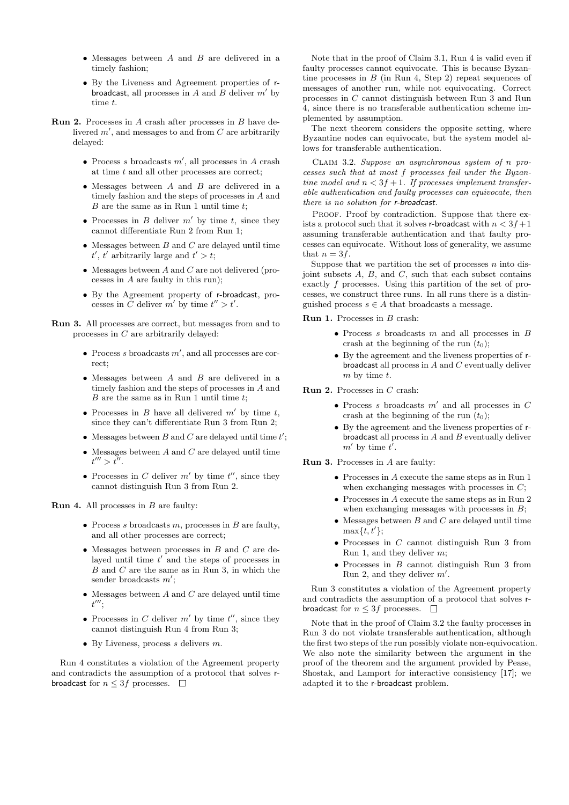- Messages between A and B are delivered in a timely fashion;
- By the Liveness and Agreement properties of rbroadcast, all processes in A and B deliver  $m'$  by time t.
- Run 2. Processes in A crash after processes in B have delivered  $m'$ , and messages to and from  $C$  are arbitrarily delayed:
	- Process s broadcasts  $m'$ , all processes in A crash at time t and all other processes are correct;
	- Messages between A and B are delivered in a timely fashion and the steps of processes in A and  $B$  are the same as in Run 1 until time  $t$ ;
	- Processes in B deliver  $m'$  by time t, since they cannot differentiate Run 2 from Run 1;
	- $\bullet$  Messages between  $B$  and  $C$  are delayed until time  $t', t'$  arbitrarily large and  $t' > t$ ;
	- Messages between  $A$  and  $C$  are not delivered (processes in A are faulty in this run);
	- By the Agreement property of r-broadcast, processes in C deliver m' by time  $t'' > t'$ .

Run 3. All processes are correct, but messages from and to processes in C are arbitrarily delayed:

- Process s broadcasts  $m'$ , and all processes are correct;
- Messages between A and B are delivered in a timely fashion and the steps of processes in A and  $B$  are the same as in Run 1 until time  $t$ ;
- Processes in  $B$  have all delivered  $m'$  by time  $t$ , since they can't differentiate Run 3 from Run 2;
- Messages between  $B$  and  $C$  are delayed until time  $t'$ ;
- $\bullet$  Messages between  $A$  and  $C$  are delayed until time  $t''' > t''$ .
- Processes in C deliver  $m'$  by time  $t''$ , since they cannot distinguish Run 3 from Run 2.

**Run 4.** All processes in  $B$  are faulty:

- Process s broadcasts  $m$ , processes in  $B$  are faulty, and all other processes are correct;
- $\bullet$  Messages between processes in  $B$  and  $C$  are delayed until time  $t'$  and the steps of processes in  $B$  and  $C$  are the same as in Run 3, in which the sender broadcasts  $m'$ ;
- $\bullet$  Messages between A and C are delayed until time  $t^{\prime\prime\prime};$
- Processes in C deliver  $m'$  by time  $t''$ , since they cannot distinguish Run 4 from Run 3;
- By Liveness, process  $s$  delivers  $m$ .

Run 4 constitutes a violation of the Agreement property and contradicts the assumption of a protocol that solves rbroadcast for  $n \leq 3f$  processes.  $\Box$ 

Note that in the proof of Claim 3.1, Run 4 is valid even if faulty processes cannot equivocate. This is because Byzantine processes in  $B$  (in Run 4, Step 2) repeat sequences of messages of another run, while not equivocating. Correct processes in C cannot distinguish between Run 3 and Run 4, since there is no transferable authentication scheme implemented by assumption.

The next theorem considers the opposite setting, where Byzantine nodes can equivocate, but the system model allows for transferable authentication.

Claim 3.2. Suppose an asynchronous system of n processes such that at most f processes fail under the Byzantine model and  $n < 3f + 1$ . If processes implement transferable authentication and faulty processes can equivocate, then there is no solution for r-broadcast.

PROOF. Proof by contradiction. Suppose that there exists a protocol such that it solves r-broadcast with  $n < 3f+1$ assuming transferable authentication and that faulty processes can equivocate. Without loss of generality, we assume that  $n = 3f$ .

Suppose that we partition the set of processes  $n$  into disjoint subsets  $A$ ,  $B$ , and  $C$ , such that each subset contains exactly f processes. Using this partition of the set of processes, we construct three runs. In all runs there is a distinguished process  $s \in A$  that broadcasts a message.

**Run 1.** Processes in  $B$  crash:

- Process s broadcasts  $m$  and all processes in  $B$ crash at the beginning of the run  $(t_0)$ ;
- By the agreement and the liveness properties of rbroadcast all process in A and C eventually deliver  $m$  by time  $t$ .

Run 2. Processes in C crash:

- Process s broadcasts  $m'$  and all processes in  $C$ crash at the beginning of the run  $(t_0)$ ;
- By the agreement and the liveness properties of rbroadcast all process in  $A$  and  $B$  eventually deliver  $m'$  by time  $t'$ .

Run 3. Processes in A are faulty:

- Processes in A execute the same steps as in Run 1 when exchanging messages with processes in  $C$ ;
- Processes in A execute the same steps as in Run 2 when exchanging messages with processes in  $B$ ;
- $\bullet$  Messages between  $B$  and  $C$  are delayed until time  $\max\{t, t'\};$
- Processes in C cannot distinguish Run 3 from Run 1, and they deliver m;
- Processes in  $B$  cannot distinguish Run 3 from Run 2, and they deliver  $m'$ .

Run 3 constitutes a violation of the Agreement property and contradicts the assumption of a protocol that solves rbroadcast for  $n \leq 3f$  processes.  $\Box$ 

Note that in the proof of Claim 3.2 the faulty processes in Run 3 do not violate transferable authentication, although the first two steps of the run possibly violate non-equivocation. We also note the similarity between the argument in the proof of the theorem and the argument provided by Pease, Shostak, and Lamport for interactive consistency [17]; we adapted it to the r-broadcast problem.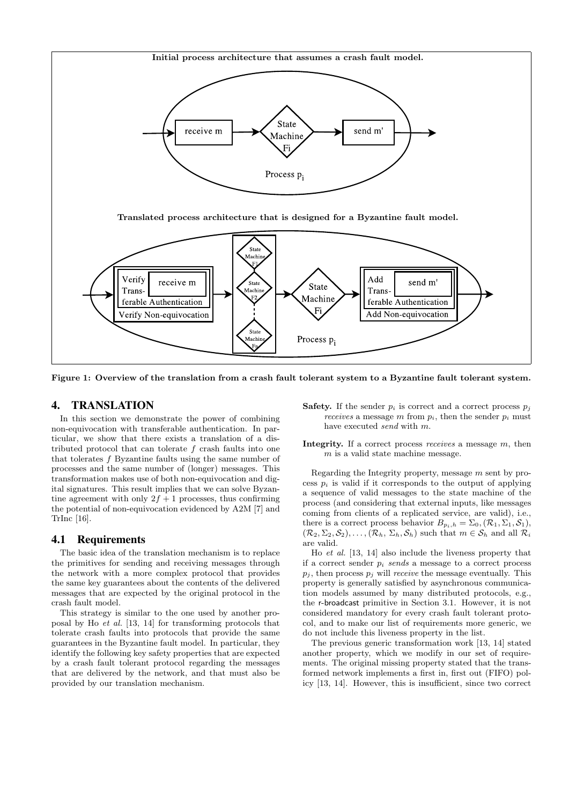

Figure 1: Overview of the translation from a crash fault tolerant system to a Byzantine fault tolerant system.

#### 4. TRANSLATION

In this section we demonstrate the power of combining non-equivocation with transferable authentication. In particular, we show that there exists a translation of a distributed protocol that can tolerate f crash faults into one that tolerates f Byzantine faults using the same number of processes and the same number of (longer) messages. This transformation makes use of both non-equivocation and digital signatures. This result implies that we can solve Byzantine agreement with only  $2f + 1$  processes, thus confirming the potential of non-equivocation evidenced by A2M [7] and TrInc [16].

#### 4.1 Requirements

The basic idea of the translation mechanism is to replace the primitives for sending and receiving messages through the network with a more complex protocol that provides the same key guarantees about the contents of the delivered messages that are expected by the original protocol in the crash fault model.

This strategy is similar to the one used by another proposal by Ho et al. [13, 14] for transforming protocols that tolerate crash faults into protocols that provide the same guarantees in the Byzantine fault model. In particular, they identify the following key safety properties that are expected by a crash fault tolerant protocol regarding the messages that are delivered by the network, and that must also be provided by our translation mechanism.

- **Safety.** If the sender  $p_i$  is correct and a correct process  $p_j$ receives a message m from  $p_i$ , then the sender  $p_i$  must have executed send with m.
- Integrity. If a correct process receives a message  $m$ , then  $m$  is a valid state machine message.

Regarding the Integrity property, message m sent by process  $p_i$  is valid if it corresponds to the output of applying a sequence of valid messages to the state machine of the process (and considering that external inputs, like messages coming from clients of a replicated service, are valid), i.e., there is a correct process behavior  $B_{p_i,h} = \Sigma_0, (\mathcal{R}_1, \Sigma_1, \mathcal{S}_1),$  $(\mathcal{R}_2, \Sigma_2, \mathcal{S}_2), \ldots, (\mathcal{R}_h, \Sigma_h, \mathcal{S}_h)$  such that  $m \in \mathcal{S}_h$  and all  $\mathcal{R}_i$ are valid.

Ho et al. [13, 14] also include the liveness property that if a correct sender  $p_i$  sends a message to a correct process  $p_i$ , then process  $p_i$  will *receive* the message eventually. This property is generally satisfied by asynchronous communication models assumed by many distributed protocols, e.g., the r-broadcast primitive in Section 3.1. However, it is not considered mandatory for every crash fault tolerant protocol, and to make our list of requirements more generic, we do not include this liveness property in the list.

The previous generic transformation work [13, 14] stated another property, which we modify in our set of requirements. The original missing property stated that the transformed network implements a first in, first out (FIFO) policy [13, 14]. However, this is insufficient, since two correct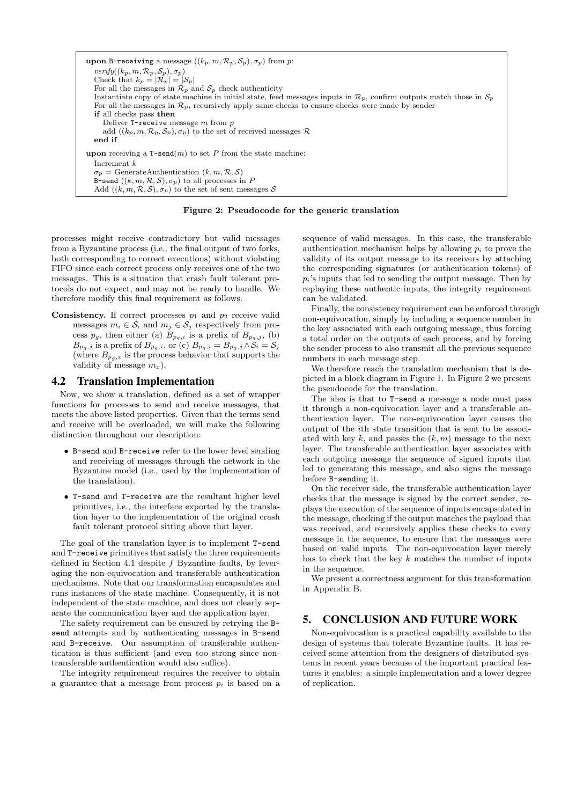upon B-receiving a message  $((k_p, m, \mathcal{R}_p, \mathcal{S}_p), \sigma_p)$  from p:  $\text{verify}((k_p, m, \mathcal{R}_p, \mathcal{S}_p), \sigma_p)$ Check that  $k_p = |\mathcal{R}_p| = |\mathcal{S}_p|$ For all the messages in  $\mathcal{R}_p$  and  $\mathcal{S}_p$  check authenticity Instantiate copy of state machine in initial state, feed messages inputs in  $\mathcal{R}_p$ , confirm outputs match those in  $\mathcal{S}_p$ For all the messages in  $\mathcal{R}_p$ , recursively apply same checks to ensure checks were made by sender if all checks pass then Deliver  $T$ -receive message  $m$  from  $p$ add  $((k_p, m, \mathcal{R}_p, \mathcal{S}_p), \sigma_p)$  to the set of received messages  $\mathcal{R}$ end if upon receiving a  $T$ -send $(m)$  to set P from the state machine: Increment k  $\sigma_p =$  GenerateAuthentication  $(k, m, R, S)$ B-send  $((k, m, \mathcal{R}, \mathcal{S}), \sigma_p)$  to all processes in P Add  $((k, m, \mathcal{R}, \mathcal{S}), \sigma_p)$  to the set of sent messages  $\mathcal S$ 

Figure 2: Pseudocode for the generic translation

processes might receive contradictory but valid messages from a Byzantine process (i.e., the final output of two forks, both corresponding to correct executions) without violating FIFO since each correct process only receives one of the two messages. This is a situation that crash fault tolerant protocols do not expect, and may not be ready to handle. We therefore modify this final requirement as follows.

**Consistency.** If correct processes  $p_1$  and  $p_2$  receive valid messages  $m_i \in \mathcal{S}_i$  and  $m_j \in \mathcal{S}_j$  respectively from process  $p_g$ , then either (a)  $B_{p_g,i}$  is a prefix of  $B_{p_g,j}$ , (b)  $B_{p_g,j}$  is a prefix of  $B_{p_g,i}$ , or (c)  $B_{p_g,i} = B_{p_g,j} \wedge \tilde{S}_i = S_j$ (where  $B_{p,q,x}$  is the process behavior that supports the validity of message  $m<sub>x</sub>$ ).

#### 4.2 Translation Implementation

Now, we show a translation, defined as a set of wrapper functions for processes to send and receive messages, that meets the above listed properties. Given that the terms send and receive will be overloaded, we will make the following distinction throughout our description:

- B-send and B-receive refer to the lower level sending and receiving of messages through the network in the Byzantine model (i.e., used by the implementation of the translation).
- T-send and T-receive are the resultant higher level primitives, i.e., the interface exported by the translation layer to the implementation of the original crash fault tolerant protocol sitting above that layer.

The goal of the translation layer is to implement T-send and T-receive primitives that satisfy the three requirements defined in Section 4.1 despite f Byzantine faults, by leveraging the non-equivocation and transferable authentication mechanisms. Note that our transformation encapsulates and runs instances of the state machine. Consequently, it is not independent of the state machine, and does not clearly separate the communication layer and the application layer.

The safety requirement can be ensured by retrying the Bsend attempts and by authenticating messages in B-send and B-receive. Our assumption of transferable authentication is thus sufficient (and even too strong since nontransferable authentication would also suffice).

The integrity requirement requires the receiver to obtain a guarantee that a message from process  $p_i$  is based on a sequence of valid messages. In this case, the transferable authentication mechanism helps by allowing  $p_i$  to prove the validity of its output message to its receivers by attaching the corresponding signatures (or authentication tokens) of  $p_i$ 's inputs that led to sending the output message. Then by replaying these authentic inputs, the integrity requirement can be validated.

Finally, the consistency requirement can be enforced through non-equivocation, simply by including a sequence number in the key associated with each outgoing message, thus forcing a total order on the outputs of each process, and by forcing the sender process to also transmit all the previous sequence numbers in each message step.

We therefore reach the translation mechanism that is depicted in a block diagram in Figure 1. In Figure 2 we present the pseudocode for the translation.

The idea is that to T-send a message a node must pass it through a non-equivocation layer and a transferable authentication layer. The non-equivocation layer causes the output of the ith state transition that is sent to be associated with key k, and passes the  $(k, m)$  message to the next layer. The transferable authentication layer associates with each outgoing message the sequence of signed inputs that led to generating this message, and also signs the message before B-sending it.

On the receiver side, the transferable authentication layer checks that the message is signed by the correct sender, replays the execution of the sequence of inputs encapsulated in the message, checking if the output matches the payload that was received, and recursively applies these checks to every message in the sequence, to ensure that the messages were based on valid inputs. The non-equivocation layer merely has to check that the key  $k$  matches the number of inputs in the sequence.

We present a correctness argument for this transformation in Appendix B.

# 5. CONCLUSION AND FUTURE WORK

Non-equivocation is a practical capability available to the design of systems that tolerate Byzantine faults. It has received some attention from the designers of distributed systems in recent years because of the important practical features it enables: a simple implementation and a lower degree of replication.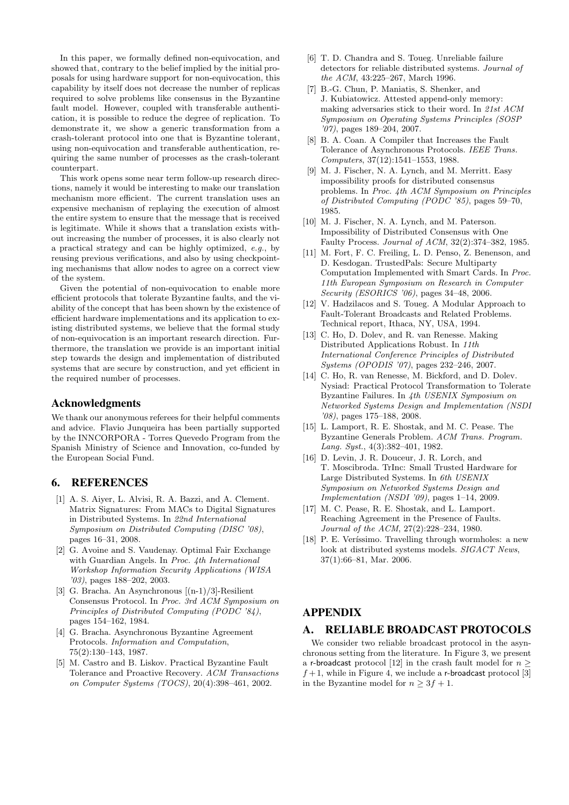In this paper, we formally defined non-equivocation, and showed that, contrary to the belief implied by the initial proposals for using hardware support for non-equivocation, this capability by itself does not decrease the number of replicas required to solve problems like consensus in the Byzantine fault model. However, coupled with transferable authentication, it is possible to reduce the degree of replication. To demonstrate it, we show a generic transformation from a crash-tolerant protocol into one that is Byzantine tolerant, using non-equivocation and transferable authentication, requiring the same number of processes as the crash-tolerant counterpart.

This work opens some near term follow-up research directions, namely it would be interesting to make our translation mechanism more efficient. The current translation uses an expensive mechanism of replaying the execution of almost the entire system to ensure that the message that is received is legitimate. While it shows that a translation exists without increasing the number of processes, it is also clearly not a practical strategy and can be highly optimized, e.g., by reusing previous verifications, and also by using checkpointing mechanisms that allow nodes to agree on a correct view of the system.

Given the potential of non-equivocation to enable more efficient protocols that tolerate Byzantine faults, and the viability of the concept that has been shown by the existence of efficient hardware implementations and its application to existing distributed systems, we believe that the formal study of non-equivocation is an important research direction. Furthermore, the translation we provide is an important initial step towards the design and implementation of distributed systems that are secure by construction, and yet efficient in the required number of processes.

## Acknowledgments

We thank our anonymous referees for their helpful comments and advice. Flavio Junqueira has been partially supported by the INNCORPORA - Torres Quevedo Program from the Spanish Ministry of Science and Innovation, co-funded by the European Social Fund.

## 6. REFERENCES

- [1] A. S. Aiyer, L. Alvisi, R. A. Bazzi, and A. Clement. Matrix Signatures: From MACs to Digital Signatures in Distributed Systems. In 22nd International Symposium on Distributed Computing (DISC '08), pages 16–31, 2008.
- [2] G. Avoine and S. Vaudenay. Optimal Fair Exchange with Guardian Angels. In Proc. 4th International Workshop Information Security Applications (WISA '03), pages 188–202, 2003.
- [3] G. Bracha. An Asynchronous [(n-1)/3]-Resilient Consensus Protocol. In Proc. 3rd ACM Symposium on Principles of Distributed Computing (PODC '84), pages 154–162, 1984.
- [4] G. Bracha. Asynchronous Byzantine Agreement Protocols. Information and Computation, 75(2):130–143, 1987.
- [5] M. Castro and B. Liskov. Practical Byzantine Fault Tolerance and Proactive Recovery. ACM Transactions on Computer Systems (TOCS), 20(4):398–461, 2002.
- [6] T. D. Chandra and S. Toueg. Unreliable failure detectors for reliable distributed systems. Journal of the ACM, 43:225–267, March 1996.
- [7] B.-G. Chun, P. Maniatis, S. Shenker, and J. Kubiatowicz. Attested append-only memory: making adversaries stick to their word. In 21st ACM Symposium on Operating Systems Principles (SOSP '07), pages 189–204, 2007.
- [8] B. A. Coan. A Compiler that Increases the Fault Tolerance of Asynchronous Protocols. IEEE Trans. Computers, 37(12):1541–1553, 1988.
- [9] M. J. Fischer, N. A. Lynch, and M. Merritt. Easy impossibility proofs for distributed consensus problems. In Proc. 4th ACM Symposium on Principles of Distributed Computing (PODC '85), pages 59–70, 1985.
- [10] M. J. Fischer, N. A. Lynch, and M. Paterson. Impossibility of Distributed Consensus with One Faulty Process. Journal of ACM, 32(2):374–382, 1985.
- [11] M. Fort, F. C. Freiling, L. D. Penso, Z. Benenson, and D. Kesdogan. TrustedPals: Secure Multiparty Computation Implemented with Smart Cards. In Proc. 11th European Symposium on Research in Computer Security (ESORICS '06), pages 34–48, 2006.
- [12] V. Hadzilacos and S. Toueg. A Modular Approach to Fault-Tolerant Broadcasts and Related Problems. Technical report, Ithaca, NY, USA, 1994.
- [13] C. Ho, D. Dolev, and R. van Renesse. Making Distributed Applications Robust. In 11th International Conference Principles of Distributed Systems (OPODIS '07), pages 232–246, 2007.
- [14] C. Ho, R. van Renesse, M. Bickford, and D. Dolev. Nysiad: Practical Protocol Transformation to Tolerate Byzantine Failures. In 4th USENIX Symposium on Networked Systems Design and Implementation (NSDI '08), pages 175–188, 2008.
- [15] L. Lamport, R. E. Shostak, and M. C. Pease. The Byzantine Generals Problem. ACM Trans. Program. Lang. Syst., 4(3):382–401, 1982.
- [16] D. Levin, J. R. Douceur, J. R. Lorch, and T. Moscibroda. TrInc: Small Trusted Hardware for Large Distributed Systems. In 6th USENIX Symposium on Networked Systems Design and Implementation (NSDI '09), pages 1–14, 2009.
- [17] M. C. Pease, R. E. Shostak, and L. Lamport. Reaching Agreement in the Presence of Faults. Journal of the ACM, 27(2):228–234, 1980.
- [18] P. E. Veríssimo. Travelling through wormholes: a new look at distributed systems models. SIGACT News, 37(1):66–81, Mar. 2006.

# APPENDIX

#### A. RELIABLE BROADCAST PROTOCOLS

We consider two reliable broadcast protocol in the asynchronous setting from the literature. In Figure 3, we present a r-broadcast protocol [12] in the crash fault model for  $n \geq$  $f+1$ , while in Figure 4, we include a r-broadcast protocol [3] in the Byzantine model for  $n \geq 3f + 1$ .